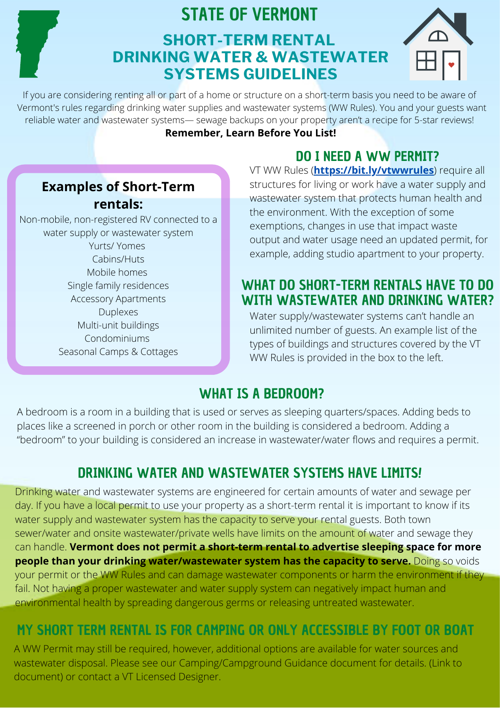# STATE OF VERMONT

# **SHORT-TERM RENTAL DRINKING WATER & WASTEWATER SYSTEMS GUIDELINES**



If you are considering renting all or part of a home or structure on a short-term basis you need to be aware of Vermont's rules regarding drinking water supplies and wastewater systems (WW Rules). You and your guests want reliable water and wastewater systems— sewage backups on your property aren't a recipe for 5-star reviews!

### **Remember, Learn Before You List!**

### DO I NEED A WW PERMIT?

### **Examples of Short-Term rentals:**

Non-mobile, non-registered RV connected to a water supply or wastewater system Yurts/ Yomes Cabins/Huts Mobile homes Single family residences Accessory Apartments Duplexes Multi-unit buildings Condominiums Seasonal Camps & Cottages

VT WW Rules (**<https://bit.ly/vtwwrules>**) require all structures for living or work have a water supply and wastewater system that protects human health and the environment. With the exception of some exemptions, changes in use that impact waste output and water usage need an updated permit, for example, adding studio apartment to your property.

### WHAT DO SHORT-TERM RENTALS HAVE TO DO WITH WASTEWATER AND DRINKING WATER?

Water supply/wastewater systems can't handle an unlimited number of guests. An example list of the types of buildings and structures covered by the VT WW Rules is provided in the box to the left.

## WHAT IS A BEDROOM?

A bedroom is a room in a building that is used or serves as sleeping quarters/spaces. Adding beds to places like a screened in porch or other room in the building is considered a bedroom. Adding a "bedroom" to your building is considered an increase in wastewater/water flows and requires a permit.

# DRINKING WATER AND WASTEWATER SYSTEMS HAVE LIMITS!

Drinking water and wastewater systems are engineered for certain amounts of water and sewage per day. If you have a local permit to use your property as a short-term rental it is important to know if its water supply and wastewater system has the capacity to serve your rental guests. Both town sewer/water and onsite wastewater/private wells have limits on the amount of water and sewage they can handle. **Vermont does not permit a short-term rental to advertise sleeping space for more people than your drinking water/wastewater system has the capacity to serve.** Doing so voids your permit or the WW Rules and can damage wastewater components or harm the environment if they fail. Not having a proper wastewater and water supply system can negatively impact human and environmental health by spreading dangerous germs or releasing untreated wastewater.

## MY SHORT TERM RENTAL IS FOR CAMPING OR ONLY ACCESSIBLE BY FOOT OR BOAT

A WW Permit may still be required, however, additional options are available for water sources and wastewater disposal. Please see our Camping/Campground Guidance document for details. (Link to document) or contact a VT Licensed Designer.